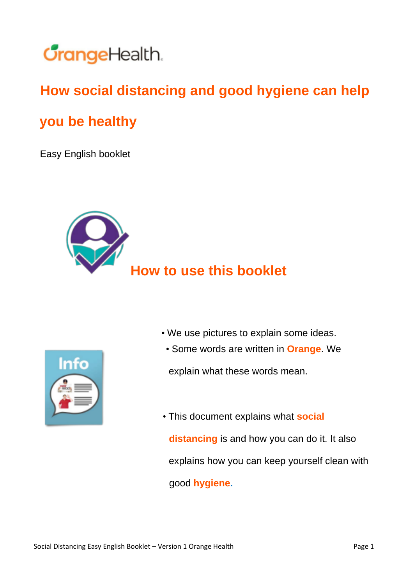

## **How social distancing and good hygiene can help**

## **you be healthy**

Easy English booklet



## **How to use this booklet**

- We use pictures to explain some ideas.
	- Some words are written in **Orange**. We

explain what these words mean.

• This document explains what **social distancing** is and how you can do it. It also explains how you can keep yourself clean with good **hygiene.**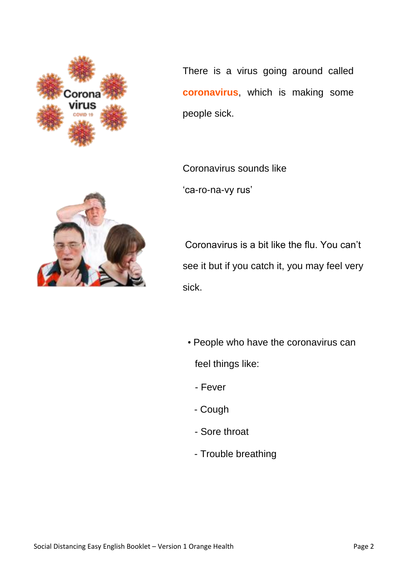

There is a virus going around called **coronavirus**, which is making some people sick.

Coronavirus sounds like 'ca-ro-na-vy rus'



Coronavirus is a bit like the flu. You can't see it but if you catch it, you may feel very sick.

- People who have the coronavirus can feel things like:
	- Fever
	- Cough
	- Sore throat
	- Trouble breathing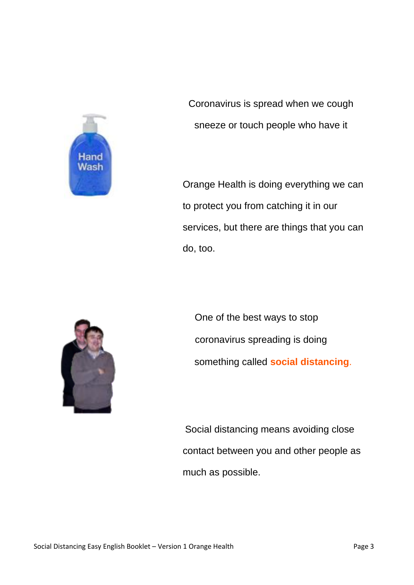

Coronavirus is spread when we cough sneeze or touch people who have it

Orange Health is doing everything we can to protect you from catching it in our services, but there are things that you can do, too.



One of the best ways to stop coronavirus spreading is doing something called **social distancing**.

Social distancing means avoiding close contact between you and other people as much as possible.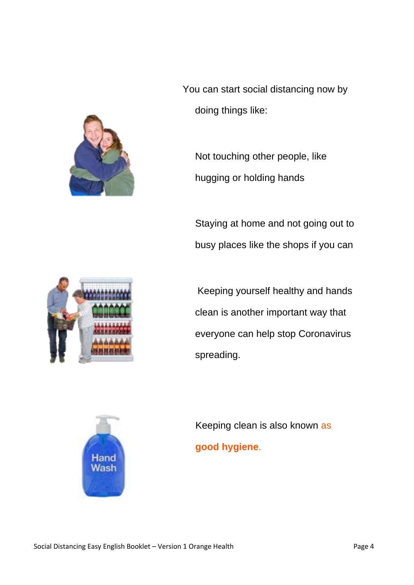

You can start social distancing now by doing things like:

Not touching other people, like hugging or holding hands

Staying at home and not going out to busy places like the shops if you can



Keeping yourself healthy and hands clean is another important way that everyone can help stop Coronavirus spreading.



Keeping clean is also known as **good hygiene**.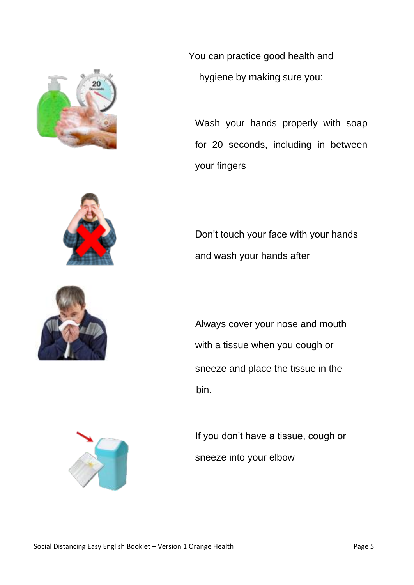







You can practice good health and hygiene by making sure you:

Wash your hands properly with soap for 20 seconds, including in between your fingers

Don't touch your face with your hands and wash your hands after

Always cover your nose and mouth with a tissue when you cough or sneeze and place the tissue in the bin.

If you don't have a tissue, cough or sneeze into your elbow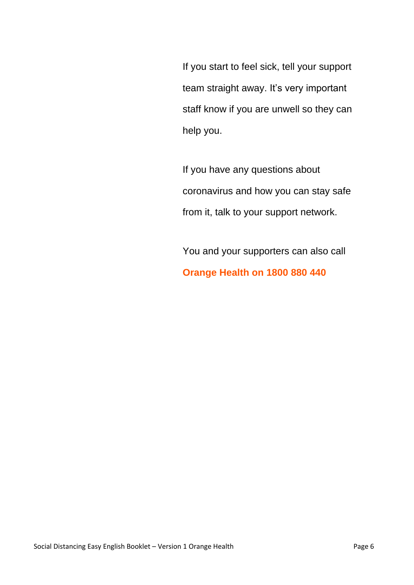If you start to feel sick, tell your support team straight away. It's very important staff know if you are unwell so they can help you.

If you have any questions about coronavirus and how you can stay safe from it, talk to your support network.

You and your supporters can also call **Orange Health on 1800 880 440**